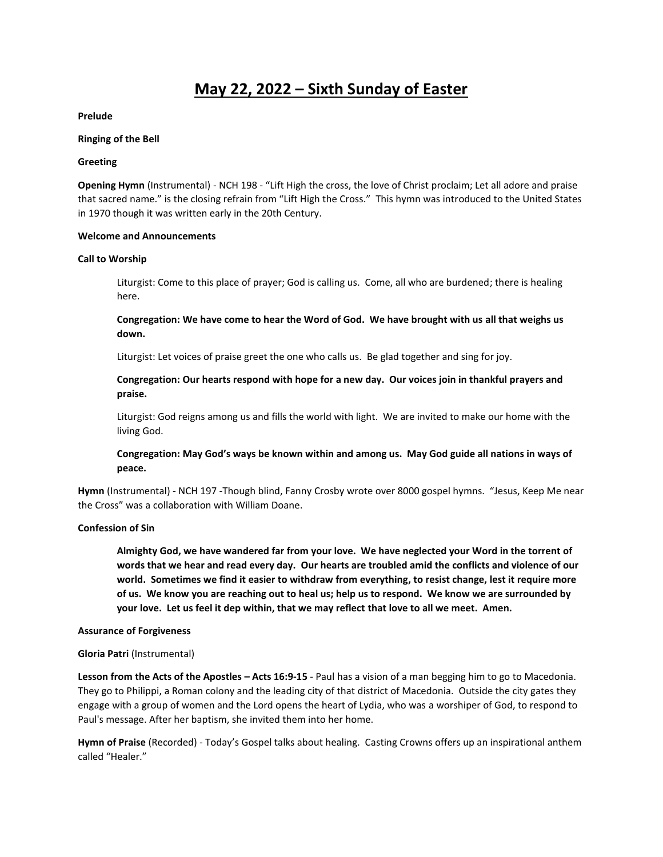# **May 22, 2022 – Sixth Sunday of Easter**

**Prelude**

#### **Ringing of the Bell**

#### **Greeting**

**Opening Hymn** (Instrumental) - NCH 198 - "Lift High the cross, the love of Christ proclaim; Let all adore and praise that sacred name." is the closing refrain from "Lift High the Cross." This hymn was introduced to the United States in 1970 though it was written early in the 20th Century.

#### **Welcome and Announcements**

#### **Call to Worship**

Liturgist: Come to this place of prayer; God is calling us. Come, all who are burdened; there is healing here.

**Congregation: We have come to hear the Word of God. We have brought with us all that weighs us down.**

Liturgist: Let voices of praise greet the one who calls us. Be glad together and sing for joy.

**Congregation: Our hearts respond with hope for a new day. Our voices join in thankful prayers and praise.**

Liturgist: God reigns among us and fills the world with light. We are invited to make our home with the living God.

# **Congregation: May God's ways be known within and among us. May God guide all nations in ways of peace.**

**Hymn** (Instrumental) - NCH 197 -Though blind, Fanny Crosby wrote over 8000 gospel hymns. "Jesus, Keep Me near the Cross" was a collaboration with William Doane.

### **Confession of Sin**

**Almighty God, we have wandered far from your love. We have neglected your Word in the torrent of words that we hear and read every day. Our hearts are troubled amid the conflicts and violence of our world. Sometimes we find it easier to withdraw from everything, to resist change, lest it require more of us. We know you are reaching out to heal us; help us to respond. We know we are surrounded by your love. Let us feel it dep within, that we may reflect that love to all we meet. Amen.** 

### **Assurance of Forgiveness**

### **Gloria Patri** (Instrumental)

**Lesson from the Acts of the Apostles – Acts 16:9-15** - Paul has a vision of a man begging him to go to Macedonia. They go to Philippi, a Roman colony and the leading city of that district of Macedonia. Outside the city gates they engage with a group of women and the Lord opens the heart of Lydia, who was a worshiper of God, to respond to Paul's message. After her baptism, she invited them into her home.

**Hymn of Praise** (Recorded) - Today's Gospel talks about healing. Casting Crowns offers up an inspirational anthem called "Healer."